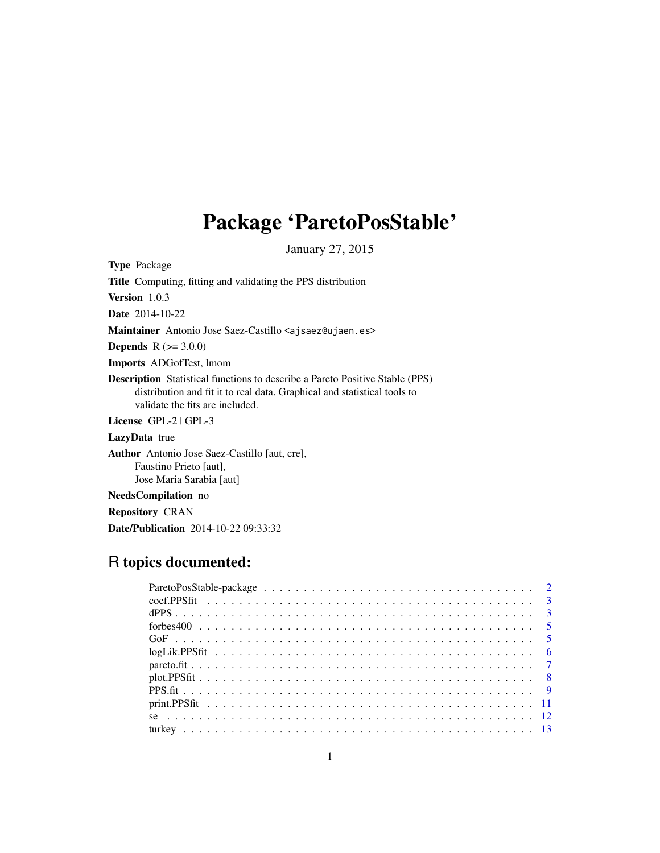## Package 'ParetoPosStable'

January 27, 2015

Type Package Title Computing, fitting and validating the PPS distribution Version 1.0.3 Date 2014-10-22 Maintainer Antonio Jose Saez-Castillo <ajsaez@ujaen.es> **Depends**  $R (= 3.0.0)$ Imports ADGofTest, lmom Description Statistical functions to describe a Pareto Positive Stable (PPS) distribution and fit it to real data. Graphical and statistical tools to validate the fits are included. License GPL-2 | GPL-3 LazyData true Author Antonio Jose Saez-Castillo [aut, cre], Faustino Prieto [aut], Jose Maria Sarabia [aut]

NeedsCompilation no Repository CRAN Date/Publication 2014-10-22 09:33:32

### R topics documented: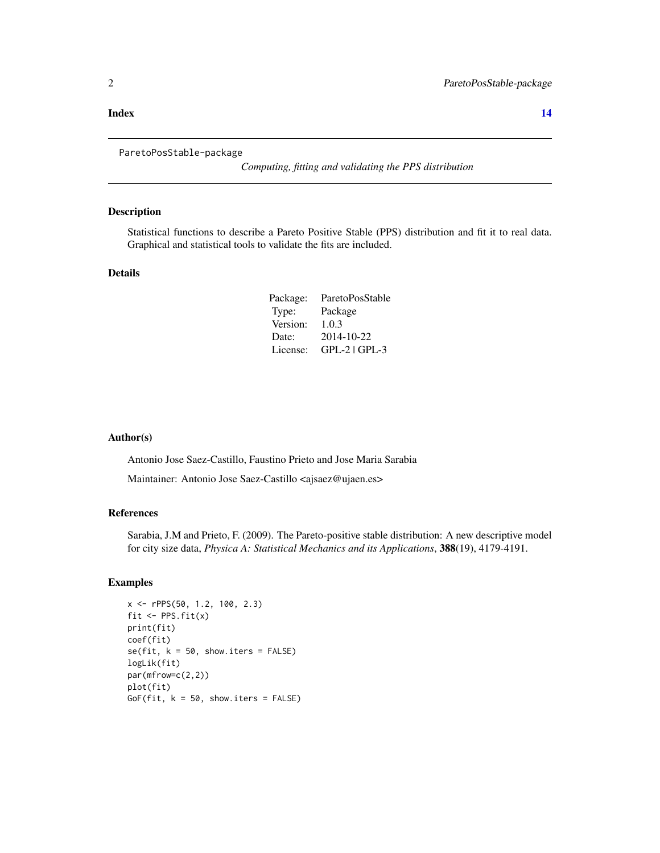#### <span id="page-1-0"></span>**Index** 2008 **[14](#page-13-0)**

#### ParetoPosStable-package

*Computing, fitting and validating the PPS distribution*

#### Description

Statistical functions to describe a Pareto Positive Stable (PPS) distribution and fit it to real data. Graphical and statistical tools to validate the fits are included.

#### Details

| Package: | ParetoPosStable |
|----------|-----------------|
| Type:    | Package         |
| Version: | 1.0.3           |
| Date:    | 2014-10-22      |
| License: | $GPL-2$ $GPL-3$ |

#### Author(s)

Antonio Jose Saez-Castillo, Faustino Prieto and Jose Maria Sarabia

Maintainer: Antonio Jose Saez-Castillo <ajsaez@ujaen.es>

#### References

Sarabia, J.M and Prieto, F. (2009). The Pareto-positive stable distribution: A new descriptive model for city size data, *Physica A: Statistical Mechanics and its Applications*, 388(19), 4179-4191.

```
x <- rPPS(50, 1.2, 100, 2.3)
fit \leftarrow PPS.fit(x)print(fit)
coef(fit)
se(fit, k = 50, show.iters = FALSE)logLik(fit)
par(mfrow=c(2,2))
plot(fit)
GoF(fit, k = 50, show.iters = FALSE)
```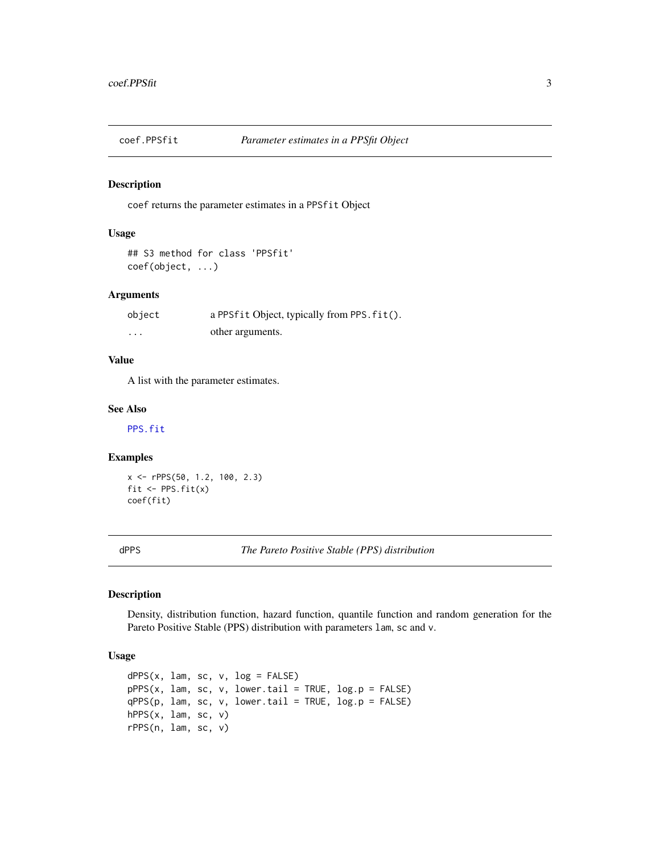<span id="page-2-1"></span><span id="page-2-0"></span>

coef returns the parameter estimates in a PPSfit Object

#### Usage

```
## S3 method for class 'PPSfit'
coef(object, ...)
```
#### Arguments

| object | a PPSfit Object, typically from PPS. fit(). |
|--------|---------------------------------------------|
| .      | other arguments.                            |

#### Value

A list with the parameter estimates.

#### See Also

[PPS.fit](#page-8-1)

#### Examples

x <- rPPS(50, 1.2, 100, 2.3) fit  $\leftarrow$  PPS.fit(x) coef(fit)

dPPS *The Pareto Positive Stable (PPS) distribution*

#### Description

Density, distribution function, hazard function, quantile function and random generation for the Pareto Positive Stable (PPS) distribution with parameters lam, sc and v.

#### Usage

```
dPPS(x, lam, sc, v, log = FALSE)pPPS(x, lam, sc, v, lower.tail = TRUE, log.p = FALSE)
qPPS(p, lam, sc, v, lower.tail = TRUE, log.p = FALSE)hPPS(x, lam, sc, v)
rPPS(n, lam, sc, v)
```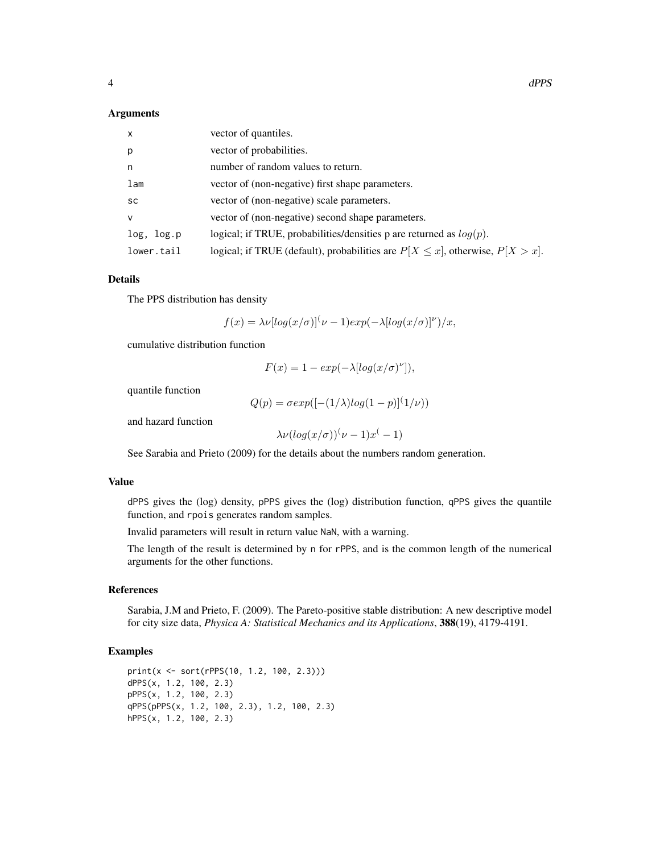#### Arguments

| $\mathsf{x}$ | vector of quantiles.                                                                 |
|--------------|--------------------------------------------------------------------------------------|
| p            | vector of probabilities.                                                             |
| n            | number of random values to return.                                                   |
| lam          | vector of (non-negative) first shape parameters.                                     |
| <b>SC</b>    | vector of (non-negative) scale parameters.                                           |
| $\vee$       | vector of (non-negative) second shape parameters.                                    |
| log, log.p   | logical; if TRUE, probabilities/densities p are returned as $log(p)$ .               |
| lower.tail   | logical; if TRUE (default), probabilities are $P[X \le x]$ , otherwise, $P[X > x]$ . |

#### Details

The PPS distribution has density

$$
f(x) = \lambda \nu \left[ \log(x/\sigma) \right]^{\left(\nu - 1\right)} \exp\left(-\lambda \left[ \log(x/\sigma) \right]^{\nu}\right) / x
$$

cumulative distribution function

$$
F(x) = 1 - exp(-\lambda \left[ log(x/\sigma)^{\nu} \right]),
$$

quantile function

$$
Q(p) = \sigma exp([- (1/\lambda)log(1-p)]^{(1/\nu)})
$$

and hazard function

$$
\lambda \nu (\log(x/\sigma))^{(1)} \nu - 1) x^{(-1)}
$$

See Sarabia and Prieto (2009) for the details about the numbers random generation.

#### Value

dPPS gives the (log) density, pPPS gives the (log) distribution function, qPPS gives the quantile function, and rpois generates random samples.

Invalid parameters will result in return value NaN, with a warning.

The length of the result is determined by n for rPPS, and is the common length of the numerical arguments for the other functions.

#### References

Sarabia, J.M and Prieto, F. (2009). The Pareto-positive stable distribution: A new descriptive model for city size data, *Physica A: Statistical Mechanics and its Applications*, 388(19), 4179-4191.

```
print(x <- sort(rPPS(10, 1.2, 100, 2.3)))
dPPS(x, 1.2, 100, 2.3)
pPPS(x, 1.2, 100, 2.3)
qPPS(pPPS(x, 1.2, 100, 2.3), 1.2, 100, 2.3)
hPPS(x, 1.2, 100, 2.3)
```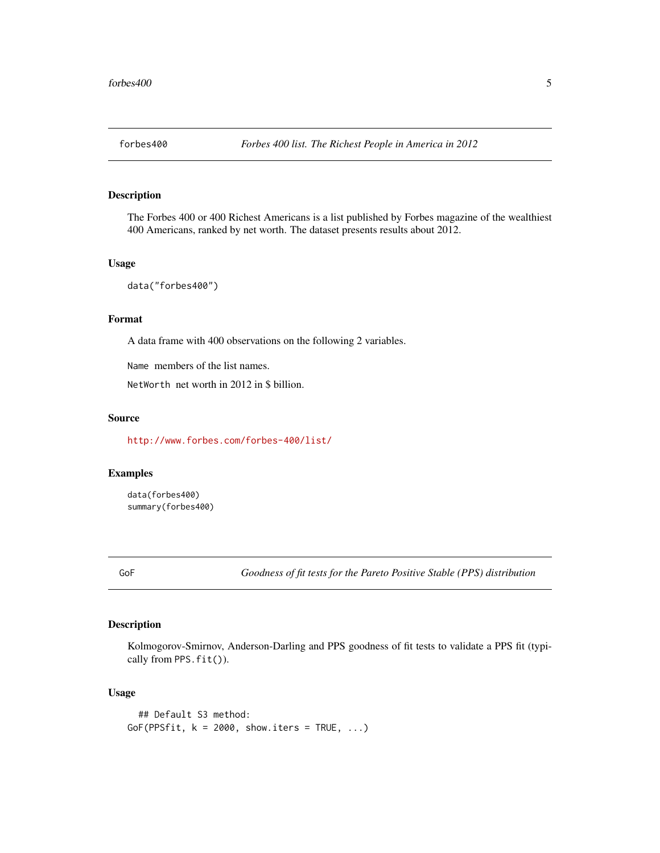<span id="page-4-0"></span>

The Forbes 400 or 400 Richest Americans is a list published by Forbes magazine of the wealthiest 400 Americans, ranked by net worth. The dataset presents results about 2012.

#### Usage

data("forbes400")

#### Format

A data frame with 400 observations on the following 2 variables.

Name members of the list names.

NetWorth net worth in 2012 in \$ billion.

#### Source

<http://www.forbes.com/forbes-400/list/>

#### Examples

data(forbes400) summary(forbes400)

<span id="page-4-1"></span>GoF *Goodness of fit tests for the Pareto Positive Stable (PPS) distribution*

#### Description

Kolmogorov-Smirnov, Anderson-Darling and PPS goodness of fit tests to validate a PPS fit (typically from PPS.fit()).

#### Usage

```
## Default S3 method:
GoF(PPSfit, k = 2000, show.iters = TRUE, ...)
```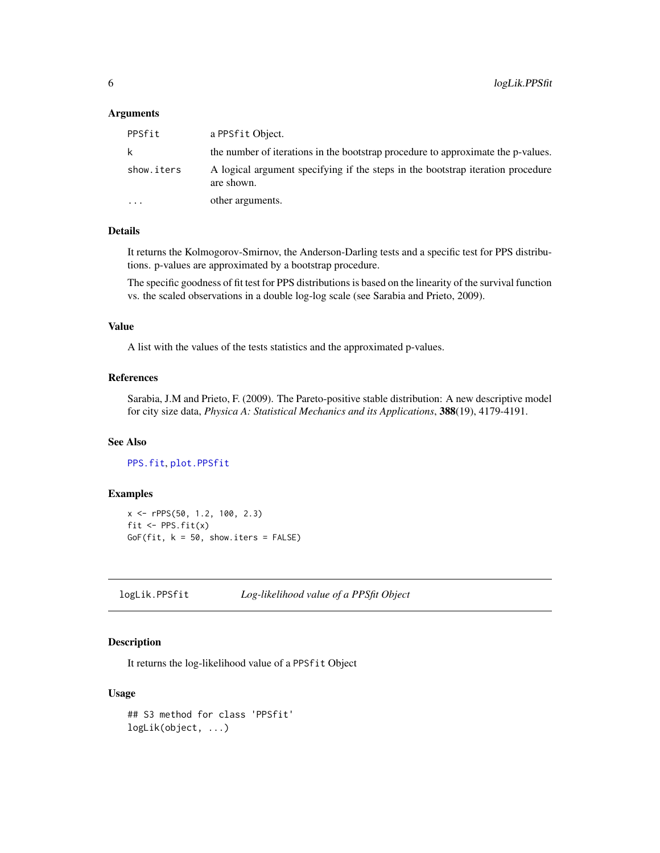#### <span id="page-5-0"></span>**Arguments**

| PPSfit     | a PPSfit Object.                                                                              |
|------------|-----------------------------------------------------------------------------------------------|
| k          | the number of iterations in the bootstrap procedure to approximate the p-values.              |
| show.iters | A logical argument specifying if the steps in the bootstrap iteration procedure<br>are shown. |
| $\ddotsc$  | other arguments.                                                                              |

#### Details

It returns the Kolmogorov-Smirnov, the Anderson-Darling tests and a specific test for PPS distributions. p-values are approximated by a bootstrap procedure.

The specific goodness of fit test for PPS distributions is based on the linearity of the survival function vs. the scaled observations in a double log-log scale (see Sarabia and Prieto, 2009).

#### Value

A list with the values of the tests statistics and the approximated p-values.

#### References

Sarabia, J.M and Prieto, F. (2009). The Pareto-positive stable distribution: A new descriptive model for city size data, *Physica A: Statistical Mechanics and its Applications*, 388(19), 4179-4191.

#### See Also

[PPS.fit](#page-8-1), [plot.PPSfit](#page-7-1)

#### Examples

x <- rPPS(50, 1.2, 100, 2.3) fit  $\leftarrow$  PPS.fit $(x)$ GoF(fit,  $k = 50$ , show.iters = FALSE)

logLik.PPSfit *Log-likelihood value of a PPSfit Object*

#### Description

It returns the log-likelihood value of a PPSfit Object

#### Usage

```
## S3 method for class 'PPSfit'
logLik(object, ...)
```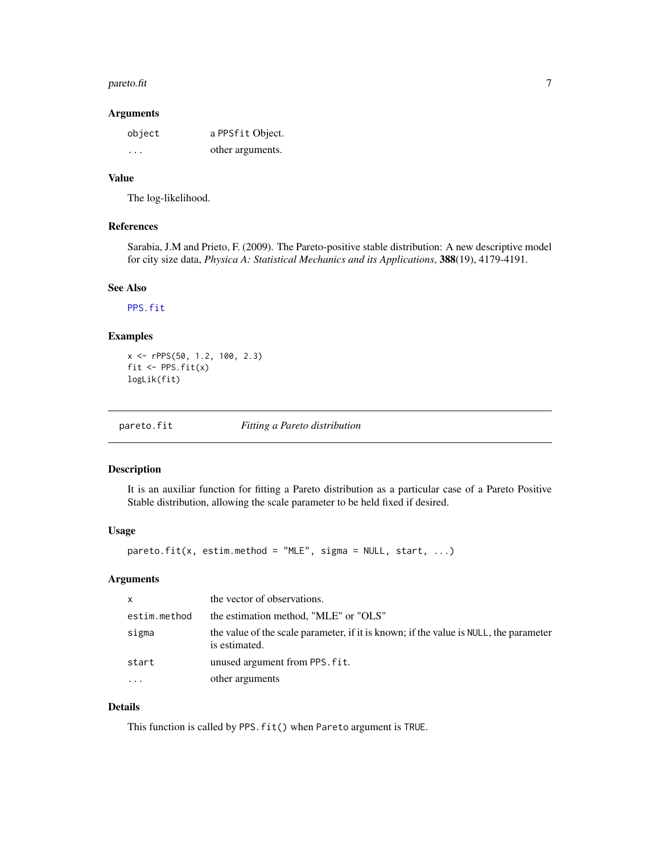#### <span id="page-6-0"></span> $p$ areto.fit  $\overline{7}$

#### Arguments

| object  | a PPSfit Object. |
|---------|------------------|
| $\cdot$ | other arguments. |

#### Value

The log-likelihood.

#### References

Sarabia, J.M and Prieto, F. (2009). The Pareto-positive stable distribution: A new descriptive model for city size data, *Physica A: Statistical Mechanics and its Applications*, 388(19), 4179-4191.

#### See Also

[PPS.fit](#page-8-1)

#### Examples

x <- rPPS(50, 1.2, 100, 2.3) fit <- PPS.fit(x) logLik(fit)

pareto.fit *Fitting a Pareto distribution*

#### Description

It is an auxiliar function for fitting a Pareto distribution as a particular case of a Pareto Positive Stable distribution, allowing the scale parameter to be held fixed if desired.

#### Usage

pareto.fit(x, estim.method = "MLE", sigma = NULL, start, ...)

#### Arguments

| $\mathsf{x}$ | the vector of observations.                                                                            |
|--------------|--------------------------------------------------------------------------------------------------------|
| estim.method | the estimation method, "MLE" or "OLS"                                                                  |
| sigma        | the value of the scale parameter, if it is known; if the value is NULL, the parameter<br>is estimated. |
| start        | unused argument from PPS. fit.                                                                         |
| $\cdots$     | other arguments                                                                                        |

#### Details

This function is called by PPS.fit() when Pareto argument is TRUE.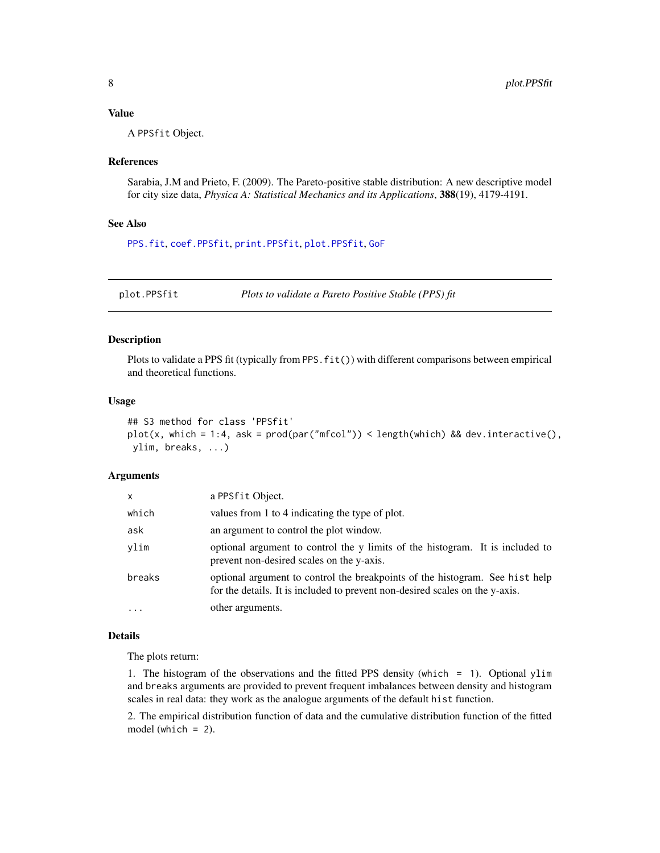#### <span id="page-7-0"></span>Value

A PPSfit Object.

#### References

Sarabia, J.M and Prieto, F. (2009). The Pareto-positive stable distribution: A new descriptive model for city size data, *Physica A: Statistical Mechanics and its Applications*, 388(19), 4179-4191.

#### See Also

[PPS.fit](#page-8-1), [coef.PPSfit](#page-2-1), [print.PPSfit](#page-10-1), [plot.PPSfit](#page-7-1), [GoF](#page-4-1)

<span id="page-7-1"></span>plot.PPSfit *Plots to validate a Pareto Positive Stable (PPS) fit*

#### Description

Plots to validate a PPS fit (typically from PPS.fit()) with different comparisons between empirical and theoretical functions.

#### Usage

```
## S3 method for class 'PPSfit'
plot(x, which = 1:4, ask = prod(par("mfcol")) < length(which) && dev.interactive(),
ylim, breaks, ...)
```
#### **Arguments**

| x        | a PPSfit Object.                                                                                                                                             |
|----------|--------------------------------------------------------------------------------------------------------------------------------------------------------------|
| which    | values from 1 to 4 indicating the type of plot.                                                                                                              |
| ask      | an argument to control the plot window.                                                                                                                      |
| vlim     | optional argument to control the y limits of the histogram. It is included to<br>prevent non-desired scales on the y-axis.                                   |
| breaks   | optional argument to control the breakpoints of the histogram. See hist help<br>for the details. It is included to prevent non-desired scales on the y-axis. |
| $\cdots$ | other arguments.                                                                                                                                             |

#### Details

The plots return:

1. The histogram of the observations and the fitted PPS density (which = 1). Optional ylim and breaks arguments are provided to prevent frequent imbalances between density and histogram scales in real data: they work as the analogue arguments of the default hist function.

2. The empirical distribution function of data and the cumulative distribution function of the fitted model (which = 2).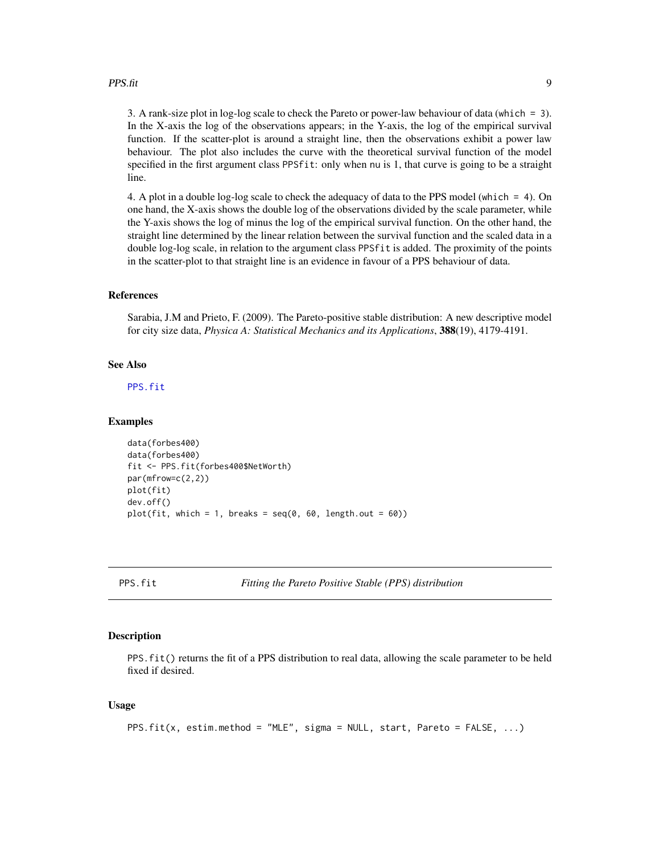#### <span id="page-8-0"></span> $PPS.$ fit 99

3. A rank-size plot in log-log scale to check the Pareto or power-law behaviour of data (which = 3). In the X-axis the log of the observations appears; in the Y-axis, the log of the empirical survival function. If the scatter-plot is around a straight line, then the observations exhibit a power law behaviour. The plot also includes the curve with the theoretical survival function of the model specified in the first argument class PPSfit: only when nu is 1, that curve is going to be a straight line.

4. A plot in a double log-log scale to check the adequacy of data to the PPS model (which = 4). On one hand, the X-axis shows the double log of the observations divided by the scale parameter, while the Y-axis shows the log of minus the log of the empirical survival function. On the other hand, the straight line determined by the linear relation between the survival function and the scaled data in a double log-log scale, in relation to the argument class PPSfit is added. The proximity of the points in the scatter-plot to that straight line is an evidence in favour of a PPS behaviour of data.

#### References

Sarabia, J.M and Prieto, F. (2009). The Pareto-positive stable distribution: A new descriptive model for city size data, *Physica A: Statistical Mechanics and its Applications*, 388(19), 4179-4191.

#### See Also

[PPS.fit](#page-8-1)

#### Examples

```
data(forbes400)
data(forbes400)
fit <- PPS.fit(forbes400$NetWorth)
par(mfrow=c(2,2))
plot(fit)
dev.off()
plot(fit, which = 1, breaks = seq(0, 60, length.out = 60))
```
<span id="page-8-1"></span>

PPS.fit *Fitting the Pareto Positive Stable (PPS) distribution*

#### **Description**

PPS.fit() returns the fit of a PPS distribution to real data, allowing the scale parameter to be held fixed if desired.

#### Usage

PPS.fit(x, estim.method = "MLE", sigma = NULL, start, Pareto = FALSE, ...)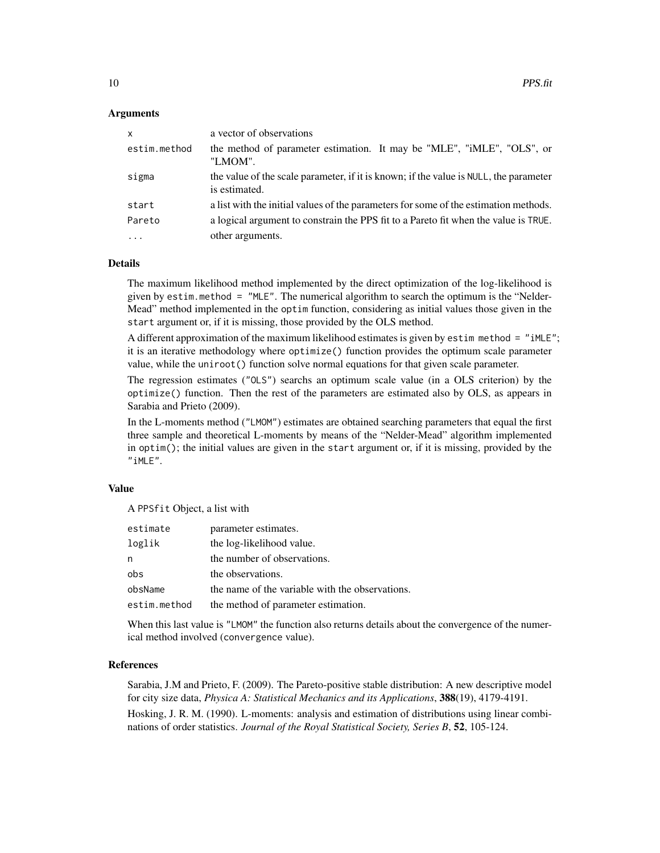#### Arguments

| $\mathsf{x}$ | a vector of observations                                                                               |
|--------------|--------------------------------------------------------------------------------------------------------|
| estim.method | the method of parameter estimation. It may be "MLE", "iMLE", "OLS", or<br>"LMOM".                      |
| sigma        | the value of the scale parameter, if it is known; if the value is NULL, the parameter<br>is estimated. |
| start        | a list with the initial values of the parameters for some of the estimation methods.                   |
| Pareto       | a logical argument to constrain the PPS fit to a Pareto fit when the value is TRUE.                    |
| $\cdots$     | other arguments.                                                                                       |

#### Details

The maximum likelihood method implemented by the direct optimization of the log-likelihood is given by estim.method = "MLE". The numerical algorithm to search the optimum is the "Nelder-Mead" method implemented in the optim function, considering as initial values those given in the start argument or, if it is missing, those provided by the OLS method.

A different approximation of the maximum likelihood estimates is given by estim method = "iMLE"; it is an iterative methodology where optimize() function provides the optimum scale parameter value, while the uniroot() function solve normal equations for that given scale parameter.

The regression estimates ("OLS") searchs an optimum scale value (in a OLS criterion) by the optimize() function. Then the rest of the parameters are estimated also by OLS, as appears in Sarabia and Prieto (2009).

In the L-moments method ("LMOM") estimates are obtained searching parameters that equal the first three sample and theoretical L-moments by means of the "Nelder-Mead" algorithm implemented in optim(); the initial values are given in the start argument or, if it is missing, provided by the "iMLE".

#### Value

A PPSfit Object, a list with

| estimate     | parameter estimates.                            |
|--------------|-------------------------------------------------|
| loglik       | the log-likelihood value.                       |
| n            | the number of observations.                     |
| obs          | the observations.                               |
| obsName      | the name of the variable with the observations. |
| estim.method | the method of parameter estimation.             |
|              |                                                 |

When this last value is "LMOM" the function also returns details about the convergence of the numerical method involved (convergence value).

#### References

Sarabia, J.M and Prieto, F. (2009). The Pareto-positive stable distribution: A new descriptive model for city size data, *Physica A: Statistical Mechanics and its Applications*, 388(19), 4179-4191.

Hosking, J. R. M. (1990). L-moments: analysis and estimation of distributions using linear combinations of order statistics. *Journal of the Royal Statistical Society, Series B*, 52, 105-124.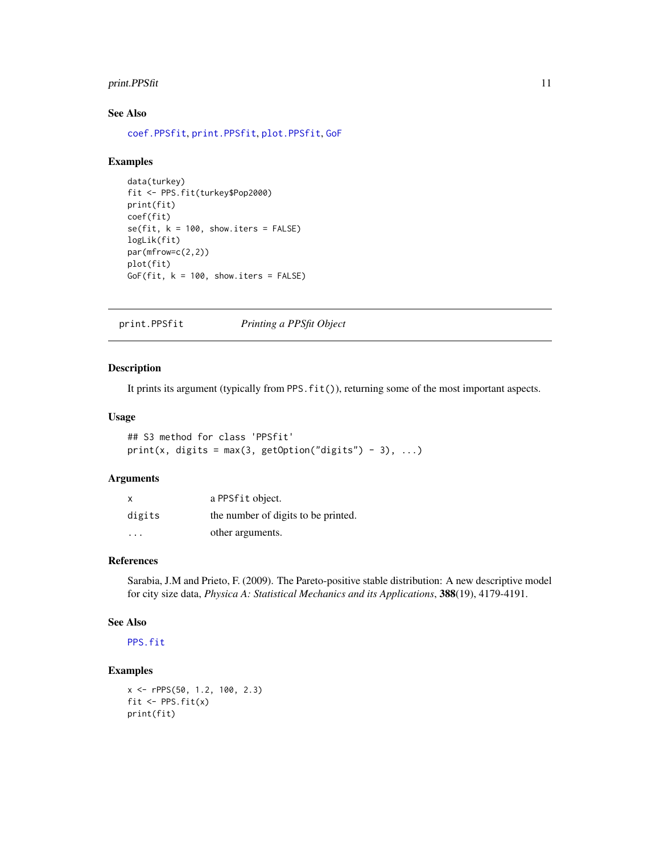#### <span id="page-10-0"></span>print.PPSfit 11

#### See Also

[coef.PPSfit](#page-2-1), [print.PPSfit](#page-10-1), [plot.PPSfit](#page-7-1), [GoF](#page-4-1)

#### Examples

```
data(turkey)
fit <- PPS.fit(turkey$Pop2000)
print(fit)
coef(fit)
se(fit, k = 100, show.iters = FALSE)logLik(fit)
par(mfrow=c(2,2))
plot(fit)
GoF(fit, k = 100, show.iters = FALSE)
```
<span id="page-10-1"></span>print.PPSfit *Printing a PPSfit Object*

#### Description

It prints its argument (typically from PPS.fit()), returning some of the most important aspects.

#### Usage

```
## S3 method for class 'PPSfit'
print(x, digits = max(3, getOption("digits") - 3), ...)
```
#### Arguments

| x                       | a PPSfit object.                    |
|-------------------------|-------------------------------------|
| digits                  | the number of digits to be printed. |
| $\cdot$ $\cdot$ $\cdot$ | other arguments.                    |

#### References

Sarabia, J.M and Prieto, F. (2009). The Pareto-positive stable distribution: A new descriptive model for city size data, *Physica A: Statistical Mechanics and its Applications*, 388(19), 4179-4191.

#### See Also

[PPS.fit](#page-8-1)

```
x <- rPPS(50, 1.2, 100, 2.3)
fit \leftarrow PPS.fit(x)
print(fit)
```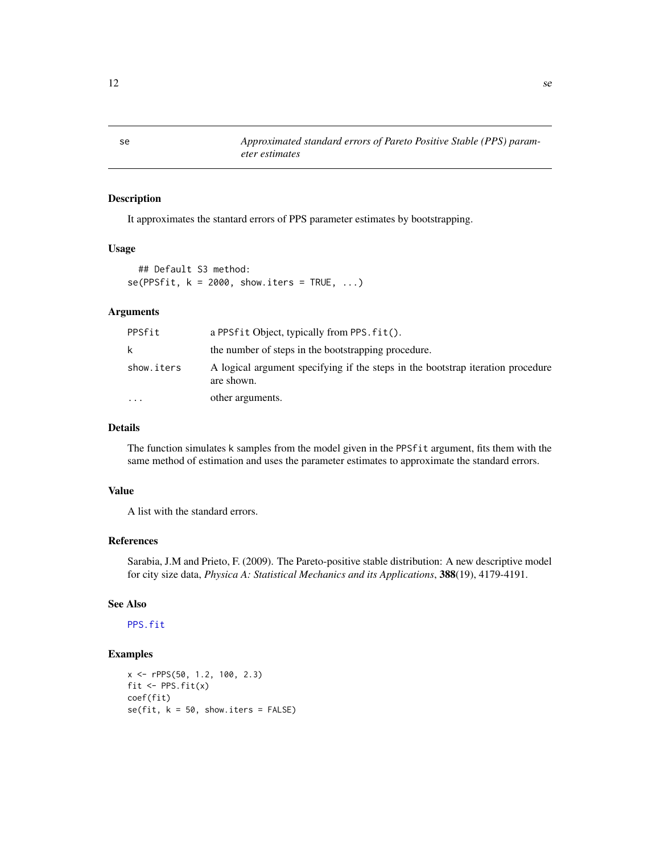It approximates the stantard errors of PPS parameter estimates by bootstrapping.

#### Usage

## Default S3 method:  $se(PPSfit, k = 2000, show.iters = TRUE, ...)$ 

#### Arguments

| PPSfit     | a PPSfit Object, typically from PPS. fit().                                                   |
|------------|-----------------------------------------------------------------------------------------------|
| k.         | the number of steps in the bootstrapping procedure.                                           |
| show.iters | A logical argument specifying if the steps in the bootstrap iteration procedure<br>are shown. |
| $\ddotsc$  | other arguments.                                                                              |

#### Details

The function simulates k samples from the model given in the PPSfit argument, fits them with the same method of estimation and uses the parameter estimates to approximate the standard errors.

#### Value

A list with the standard errors.

#### References

Sarabia, J.M and Prieto, F. (2009). The Pareto-positive stable distribution: A new descriptive model for city size data, *Physica A: Statistical Mechanics and its Applications*, 388(19), 4179-4191.

#### See Also

[PPS.fit](#page-8-1)

```
x <- rPPS(50, 1.2, 100, 2.3)
fit \leftarrow PPS.fit(x)coef(fit)
se(fit, k = 50, show.iters = FALSE)
```
<span id="page-11-0"></span>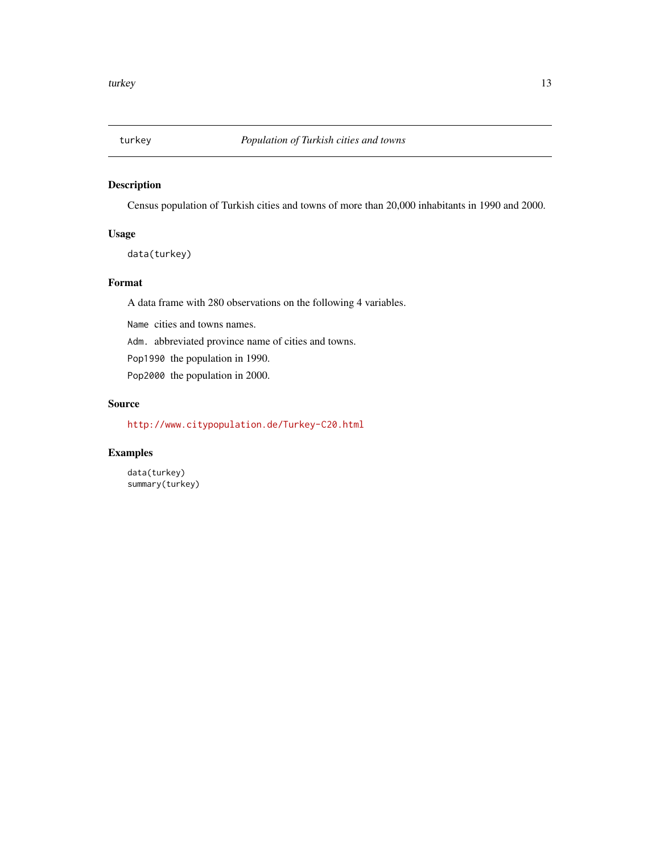<span id="page-12-0"></span>

Census population of Turkish cities and towns of more than 20,000 inhabitants in 1990 and 2000.

#### Usage

data(turkey)

#### Format

A data frame with 280 observations on the following 4 variables.

Name cities and towns names.

Adm. abbreviated province name of cities and towns.

Pop1990 the population in 1990.

Pop2000 the population in 2000.

#### Source

<http://www.citypopulation.de/Turkey-C20.html>

#### Examples

data(turkey) summary(turkey)